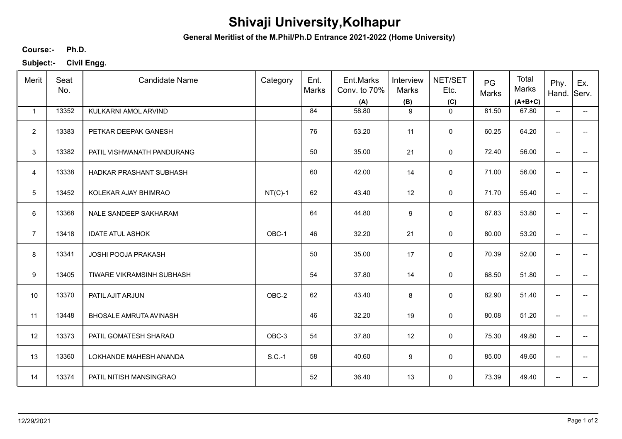## **Shivaji University,Kolhapur**

**General Meritlist of the M.Phil/Ph.D Entrance 2021-2022 (Home University)**

**Ph.D. Course:-**

**Subject:- Civil Engg.**

| Merit           | Seat<br>No. | <b>Candidate Name</b>         | Category  | Ent.<br>Marks | Ent.Marks<br>Conv. to 70%<br>(A) | Interview<br>Marks<br>(B) | NET/SET<br>Etc.<br>(C) | PG<br>Marks | Total<br>Marks<br>$(A+B+C)$ | Phy.<br>Hand. Serv.      | Ex.                                    |
|-----------------|-------------|-------------------------------|-----------|---------------|----------------------------------|---------------------------|------------------------|-------------|-----------------------------|--------------------------|----------------------------------------|
| $\mathbf{1}$    | 13352       | KULKARNI AMOL ARVIND          |           | 84            | 58.80                            | 9                         | $\mathbf 0$            | 81.50       | 67.80                       | $\overline{\phantom{a}}$ | $\overline{\phantom{a}}$               |
| $\overline{2}$  | 13383       | PETKAR DEEPAK GANESH          |           | 76            | 53.20                            | 11                        | $\mathbf 0$            | 60.25       | 64.20                       | $\overline{\phantom{a}}$ | $- -$                                  |
| 3               | 13382       | PATIL VISHWANATH PANDURANG    |           | 50            | 35.00                            | 21                        | $\mathsf{O}\xspace$    | 72.40       | 56.00                       | $\overline{\phantom{a}}$ | $- -$                                  |
| $\overline{4}$  | 13338       | HADKAR PRASHANT SUBHASH       |           | 60            | 42.00                            | 14                        | $\mathbf 0$            | 71.00       | 56.00                       | $\overline{\phantom{a}}$ | $\overline{\phantom{a}}$               |
| $5\phantom{.0}$ | 13452       | KOLEKAR AJAY BHIMRAO          | $NT(C)-1$ | 62            | 43.40                            | 12                        | $\mathsf 0$            | 71.70       | 55.40                       | $\overline{\phantom{a}}$ | $\overline{\phantom{a}}$               |
| 6               | 13368       | NALE SANDEEP SAKHARAM         |           | 64            | 44.80                            | 9                         | 0                      | 67.83       | 53.80                       | $\overline{\phantom{a}}$ | −−                                     |
| $\overline{7}$  | 13418       | <b>IDATE ATUL ASHOK</b>       | OBC-1     | 46            | 32.20                            | 21                        | $\mathbf 0$            | 80.00       | 53.20                       | $\overline{\phantom{a}}$ | $\overline{\phantom{a}}$               |
| 8               | 13341       | <b>JOSHI POOJA PRAKASH</b>    |           | 50            | 35.00                            | 17                        | $\mathbf 0$            | 70.39       | 52.00                       | $\overline{\phantom{a}}$ | $\hspace{0.05cm}$ $\hspace{0.05cm}$    |
| 9               | 13405       | TIWARE VIKRAMSINH SUBHASH     |           | 54            | 37.80                            | 14                        | 0                      | 68.50       | 51.80                       | $\overline{\phantom{a}}$ | $\overline{\phantom{a}}$               |
| 10              | 13370       | PATIL AJIT ARJUN              | OBC-2     | 62            | 43.40                            | 8                         | $\mathbf 0$            | 82.90       | 51.40                       | $\overline{\phantom{a}}$ | $\overline{\phantom{a}}$               |
| 11              | 13448       | <b>BHOSALE AMRUTA AVINASH</b> |           | 46            | 32.20                            | 19                        | $\mathbf 0$            | 80.08       | 51.20                       | $\overline{\phantom{a}}$ | $\overline{\phantom{a}}$               |
| 12              | 13373       | PATIL GOMATESH SHARAD         | OBC-3     | 54            | 37.80                            | 12                        | $\mathbf 0$            | 75.30       | 49.80                       | $\overline{\phantom{a}}$ | $\hspace{0.05cm}$ $\hspace{0.05cm}$    |
| 13              | 13360       | LOKHANDE MAHESH ANANDA        | $S.C.-1$  | 58            | 40.60                            | 9                         | $\mathbf 0$            | 85.00       | 49.60                       | $\overline{\phantom{a}}$ | $\hspace{0.05cm} \rule{0.5cm}{0.15cm}$ |
| 14              | 13374       | PATIL NITISH MANSINGRAO       |           | 52            | 36.40                            | 13                        | $\mathsf 0$            | 73.39       | 49.40                       | $\overline{\phantom{a}}$ | $\hspace{0.05cm}$ – $\hspace{0.05cm}$  |